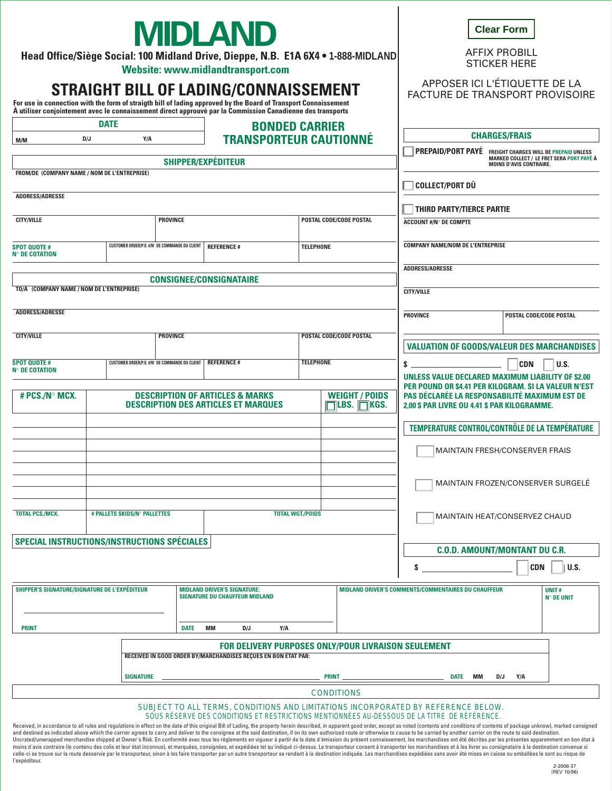| <b>MIDLAND</b><br>Head Office/Siège Social: 100 Midland Drive, Dieppe, N.B. E1A 6X4 . 1-888-MIDLAND<br>Website: www.midlandtransport.com                                                                                                                               |                  |  |                                                |                                                                                                                                              |     |                                |                                                                                               | <b>Clear Form</b><br><b>AFFIX PROBILL</b><br><b>STICKER HERE</b>                                                                                                                  |                                |                                                  |  |
|------------------------------------------------------------------------------------------------------------------------------------------------------------------------------------------------------------------------------------------------------------------------|------------------|--|------------------------------------------------|----------------------------------------------------------------------------------------------------------------------------------------------|-----|--------------------------------|-----------------------------------------------------------------------------------------------|-----------------------------------------------------------------------------------------------------------------------------------------------------------------------------------|--------------------------------|--------------------------------------------------|--|
| STRAIGHT BILL OF LADING/CONNAISSEMENT<br>For use in connection with the form of straigth bill of lading approved by the Board of Transport Connaissement<br>À utiliser conjointement avec le connaissement direct approuvé par la Commission Canadienne des transports |                  |  |                                                |                                                                                                                                              |     |                                |                                                                                               | APPOSER ICI L'ÉTIQUETTE DE LA<br><b>FACTURE DE TRANSPORT PROVISOIRE</b>                                                                                                           |                                |                                                  |  |
| <b>DATE</b>                                                                                                                                                                                                                                                            |                  |  |                                                | <b>BONDED CARRIER</b>                                                                                                                        |     |                                |                                                                                               |                                                                                                                                                                                   |                                |                                                  |  |
| M/M                                                                                                                                                                                                                                                                    | D/J<br>Y/A       |  |                                                |                                                                                                                                              |     | <b>TRANSPORTEUR CAUTIONNÉ</b>  |                                                                                               | <b>CHARGES/FRAIS</b><br>PREPAID/PORT PAYÉ FREIGHT CHARGES WILL BE PREPAID UNLESS                                                                                                  |                                |                                                  |  |
| SHIPPER/EXPÉDITEUR                                                                                                                                                                                                                                                     |                  |  |                                                |                                                                                                                                              |     |                                |                                                                                               |                                                                                                                                                                                   | <b>MOINS D'AVIS CONTRAIRE.</b> | <b>MARKED COLLECT / LE FRET SERA PORT PAYÉ À</b> |  |
| FROM/DE (COMPANY NAME / NOM DE L'ENTREPRISE)                                                                                                                                                                                                                           |                  |  |                                                |                                                                                                                                              |     |                                |                                                                                               |                                                                                                                                                                                   |                                |                                                  |  |
| <b>ADDRESS/ADRESSE</b>                                                                                                                                                                                                                                                 |                  |  |                                                |                                                                                                                                              |     |                                |                                                                                               | <b>COLLECT/PORT DÛ</b>                                                                                                                                                            |                                |                                                  |  |
|                                                                                                                                                                                                                                                                        |                  |  |                                                |                                                                                                                                              |     |                                |                                                                                               | <b>THIRD PARTY/TIERCE PARTIE</b>                                                                                                                                                  |                                |                                                  |  |
| <b>CITY/VILLE</b>                                                                                                                                                                                                                                                      |                  |  | <b>PROVINCE</b>                                |                                                                                                                                              |     | <b>POSTAL CODE/CODE POSTAL</b> |                                                                                               | <b>ACCOUNT #/N° DE COMPTE</b>                                                                                                                                                     |                                |                                                  |  |
| <b>SPOT QUOTE#</b>                                                                                                                                                                                                                                                     |                  |  | CUSTOMER ORDER/P.O. #/N° DE COMMANDE DU CLIENT | <b>REFERENCE#</b>                                                                                                                            |     | <b>TELEPHONE</b>               |                                                                                               | <b>COMPANY NAME/NOM DE L'ENTREPRISE</b>                                                                                                                                           |                                |                                                  |  |
| <b>N° DE COTATION</b>                                                                                                                                                                                                                                                  |                  |  |                                                |                                                                                                                                              |     |                                |                                                                                               |                                                                                                                                                                                   |                                |                                                  |  |
|                                                                                                                                                                                                                                                                        |                  |  |                                                |                                                                                                                                              |     |                                |                                                                                               | <b>ADDRESS/ADRESSE</b>                                                                                                                                                            |                                |                                                  |  |
| <b>CONSIGNEE/CONSIGNATAIRE</b><br>TO/À (COMPANY NAME / NOM DE L'ENTREPRISE)                                                                                                                                                                                            |                  |  |                                                |                                                                                                                                              |     |                                |                                                                                               | <b>CITY/VILLE</b>                                                                                                                                                                 |                                |                                                  |  |
|                                                                                                                                                                                                                                                                        |                  |  |                                                |                                                                                                                                              |     |                                |                                                                                               |                                                                                                                                                                                   |                                |                                                  |  |
| <b>ADDRESS/ADRESSE</b>                                                                                                                                                                                                                                                 |                  |  |                                                |                                                                                                                                              |     |                                |                                                                                               | <b>PROVINCE</b>                                                                                                                                                                   |                                | POSTAL CODE/CODE POSTAL                          |  |
| <b>CITY/VILLE</b><br><b>PROVINCE</b>                                                                                                                                                                                                                                   |                  |  |                                                | POSTAL CODE/CODE POSTAL                                                                                                                      |     |                                |                                                                                               |                                                                                                                                                                                   |                                |                                                  |  |
|                                                                                                                                                                                                                                                                        |                  |  |                                                |                                                                                                                                              |     |                                |                                                                                               | <b>VALUATION OF GOODS/VALEUR DES MARCHANDISES</b>                                                                                                                                 |                                |                                                  |  |
| <b>SPOT QUOTE#</b><br><b>N° DE COTATION</b>                                                                                                                                                                                                                            |                  |  | CUSTOMER ORDER/P.O. #/N° DE COMMANDE DU CLIENT | <b>REFERENCE#</b>                                                                                                                            |     | <b>TELEPHONE</b>               |                                                                                               | \$                                                                                                                                                                                | <b>CDN</b>                     | U.S.                                             |  |
|                                                                                                                                                                                                                                                                        |                  |  |                                                |                                                                                                                                              |     |                                |                                                                                               | UNLESS VALUE DECLARED MAXIMUM LIABILITY OF \$2.00<br>PER POUND OR \$4.41 PER KILOGRAM. SI LA VALEUR N'EST                                                                         |                                |                                                  |  |
| # PCS./N° MCX.                                                                                                                                                                                                                                                         |                  |  |                                                | <b>DESCRIPTION OF ARTICLES &amp; MARKS</b><br><b>WEIGHT / POIDS</b><br><b>DESCRIPTION DES ARTICLES ET MARQUES</b><br>$\Box$ LBS. $\Box$ KGS. |     |                                | PAS DÉCLARÉE LA RESPONSABILITÉ MAXIMUM EST DE<br>2.00 \$ PAR LIVRE OU 4.41 \$ PAR KILOGRAMME. |                                                                                                                                                                                   |                                |                                                  |  |
|                                                                                                                                                                                                                                                                        |                  |  |                                                |                                                                                                                                              |     |                                |                                                                                               | TEMPERATURE CONTROL/CONTRÔLE DE LA TEMPÉRATURE                                                                                                                                    |                                |                                                  |  |
|                                                                                                                                                                                                                                                                        |                  |  |                                                |                                                                                                                                              |     |                                |                                                                                               | <b>MAINTAIN FRESH/CONSERVER FRAIS</b>                                                                                                                                             |                                |                                                  |  |
|                                                                                                                                                                                                                                                                        |                  |  |                                                |                                                                                                                                              |     |                                |                                                                                               |                                                                                                                                                                                   |                                |                                                  |  |
|                                                                                                                                                                                                                                                                        |                  |  |                                                |                                                                                                                                              |     |                                | <b>MAINTAIN FROZEN/CONSERVER SURGELE</b>                                                      |                                                                                                                                                                                   |                                |                                                  |  |
|                                                                                                                                                                                                                                                                        |                  |  |                                                |                                                                                                                                              |     |                                |                                                                                               |                                                                                                                                                                                   |                                |                                                  |  |
| <b>TOTAL PCS./MCX.</b><br># PALLETS SKIDS/N° PALLETTES<br><b>TOTAL WGT./POIDS</b>                                                                                                                                                                                      |                  |  |                                                |                                                                                                                                              |     |                                | MAINTAIN HEAT/CONSERVEZ CHAUD                                                                 |                                                                                                                                                                                   |                                |                                                  |  |
|                                                                                                                                                                                                                                                                        |                  |  |                                                |                                                                                                                                              |     |                                |                                                                                               |                                                                                                                                                                                   |                                |                                                  |  |
| SPECIAL INSTRUCTIONS/INSTRUCTIONS SPÉCIALES                                                                                                                                                                                                                            |                  |  |                                                |                                                                                                                                              |     |                                | <b>C.O.D. AMOUNT/MONTANT DU C.R.</b>                                                          |                                                                                                                                                                                   |                                |                                                  |  |
|                                                                                                                                                                                                                                                                        |                  |  |                                                |                                                                                                                                              |     |                                |                                                                                               |                                                                                                                                                                                   |                                |                                                  |  |
|                                                                                                                                                                                                                                                                        |                  |  |                                                |                                                                                                                                              |     |                                |                                                                                               | s                                                                                                                                                                                 | <b>CDN</b>                     | U.S.                                             |  |
| SHIPPER'S SIGNATURE/SIGNATURE DE L'EXPÉDITEUR                                                                                                                                                                                                                          |                  |  |                                                | <b>MIDLAND DRIVER'S SIGNATURE:</b><br><b>SIGNATURE DU CHAUFFEUR MIDLAND</b>                                                                  |     |                                | MIDLAND DRIVER'S COMMENTS/COMMENTAIRES DU CHAUFFEUR                                           |                                                                                                                                                                                   | UNIT#<br><b>N° DE UNIT</b>     |                                                  |  |
| <b>PRINT</b><br><b>DATE</b>                                                                                                                                                                                                                                            |                  |  |                                                | MМ<br>D/J                                                                                                                                    | Y/A |                                |                                                                                               |                                                                                                                                                                                   |                                |                                                  |  |
|                                                                                                                                                                                                                                                                        |                  |  |                                                |                                                                                                                                              |     |                                |                                                                                               |                                                                                                                                                                                   |                                |                                                  |  |
|                                                                                                                                                                                                                                                                        |                  |  |                                                | <b>FOR DELIVERY PURPOSES ONLY/POUR LIVRAISON SEULEMENT</b><br>RECEIVED IN GOOD ORDER BY/MARCHANDISES RECUES EN BON ÉTAT PAR:                 |     |                                |                                                                                               |                                                                                                                                                                                   |                                |                                                  |  |
|                                                                                                                                                                                                                                                                        | <b>SIGNATURE</b> |  | PRINT MM DATE MM                               |                                                                                                                                              |     | D/J<br>Y/A                     |                                                                                               |                                                                                                                                                                                   |                                |                                                  |  |
|                                                                                                                                                                                                                                                                        |                  |  |                                                |                                                                                                                                              |     | <b>CONDITIONS</b>              |                                                                                               |                                                                                                                                                                                   |                                |                                                  |  |
|                                                                                                                                                                                                                                                                        |                  |  |                                                |                                                                                                                                              |     |                                |                                                                                               | SUBJECT TO ALL TERMS, CONDITIONS AND LIMITATIONS INCORPORATED BY REFERENCE BELOW.<br>SOUS RÉSERVE DES CONDITIONS ET RESTRICTIONS MENTIONNÉES AU-DESSOUS DE LA TITRE DE RÉFÉRENCE. |                                |                                                  |  |

Received, in accordance to all rules and regulations in effect on the date of this original Bill of Lading, the property herein described, in apparent good order, except as noted (contents and conditions of contents of pac celle-ci se trouve sur la route desservie par le transporteur, sinon à les faire transporter par un autre transporteur se rendant à la destination indiquée. Les marchandises expédiées sans avoir été mises en caisse ou emba l'expéditeur.